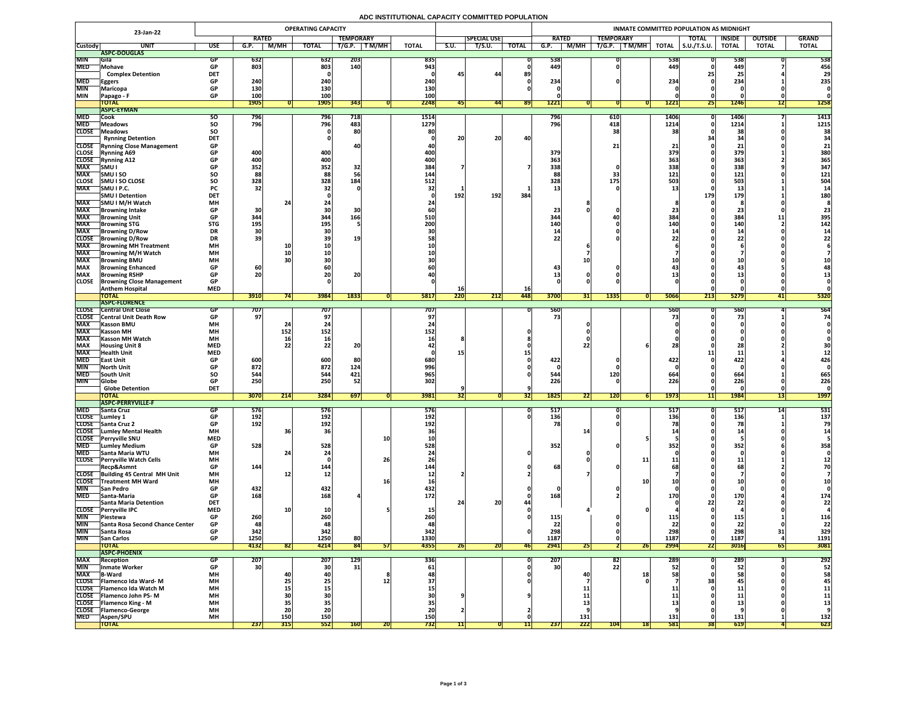## **ADC INSTITUTIONAL CAPACITY COMMITTED POPULATION**

| 23-Jan-22                  |                                                            | <b>OPERATING CAPACITY</b> |                          |                                                               |                   |                   |           |                          |           | INMATE COMMITTED POPULATION AS MIDNIGHT |              |                 |             |                  |                      |                     |                     |                 |                |              |  |  |
|----------------------------|------------------------------------------------------------|---------------------------|--------------------------|---------------------------------------------------------------|-------------------|-------------------|-----------|--------------------------|-----------|-----------------------------------------|--------------|-----------------|-------------|------------------|----------------------|---------------------|---------------------|-----------------|----------------|--------------|--|--|
|                            |                                                            |                           | <b>RATED</b>             |                                                               |                   | <b>TEMPORARY</b>  |           |                          |           | <b>SPECIAL USE</b>                      |              | <b>RATED</b>    |             | <b>TEMPORARY</b> |                      |                     | <b>TOTAL</b>        | <b>INSIDE</b>   | <b>OUTSIDE</b> | <b>GRAND</b> |  |  |
| <b>Custody</b>             | <b>UNIT</b>                                                | <b>USE</b>                | G.P.                     | M/MH                                                          | <b>TOTAL</b>      | T/G.P.            | T M/MH    | <b>TOTAL</b>             | S.U.      | T/S.U.                                  | <b>TOTAL</b> | G.P.            | <b>M/MH</b> | T/G.P.           | $\sqrt{T}$ M/MH $_1$ | <b>TOTAL</b>        | $\vert$ S.U./T.S.U. | <b>TOTAL</b>    | <b>TOTAL</b>   | <b>TOTAL</b> |  |  |
|                            | ASPC-DOUGLAS                                               |                           |                          |                                                               |                   |                   |           |                          |           |                                         |              |                 |             |                  |                      |                     |                     |                 |                |              |  |  |
| <b>MIN</b><br><b>MED</b>   | <b>Sila</b><br>Mohave                                      | GP<br><b>GP</b>           | <b>632</b><br>803        |                                                               | 632<br>803        | <b>203</b><br>140 |           | 835<br>943               |           |                                         |              | 538<br>449      |             |                  |                      | 538 <br>449         |                     | 538<br>449      |                | 538<br>456   |  |  |
|                            | <b>Complex Detention</b>                                   | <b>DET</b>                |                          |                                                               |                   |                   |           |                          | 45        | 44                                      | 89           |                 |             |                  |                      |                     |                     | 2!              |                | 29           |  |  |
| <b>MED</b>                 | <b>Eggers</b>                                              | <b>GP</b>                 | 240                      |                                                               | 240               |                   |           | 240                      |           |                                         |              | 234             |             |                  |                      | 234                 |                     | 234             |                | 235          |  |  |
| <b>MIN</b>                 | <b>Maricopa</b>                                            | <b>GP</b>                 | <b>130</b>               |                                                               | 130               |                   |           | 130                      |           |                                         |              |                 |             |                  |                      |                     |                     |                 |                |              |  |  |
| <b>MIN</b>                 | <b>Papago - F</b>                                          | <b>GP</b>                 | 100                      |                                                               | 100               |                   |           | 100                      |           |                                         |              |                 |             |                  |                      |                     |                     |                 |                |              |  |  |
|                            | <b>TOTAL</b>                                               |                           | <b>1905</b>              |                                                               | <b>1905</b>       | 343               |           | 2248                     |           | 441                                     | <b>891</b>   | 1221            |             |                  |                      | <b>1221</b>         | <b>Z51</b>          | <b>1246</b>     | L              | 1258         |  |  |
|                            | <b>ASPC-EYMAN</b>                                          |                           |                          |                                                               |                   |                   |           |                          |           |                                         |              |                 |             |                  |                      |                     |                     |                 |                |              |  |  |
| <b>MED</b><br><b>MED</b>   | Cook                                                       | <b>SU</b>                 | 796<br>796               |                                                               | <b>796</b><br>796 | 718<br>483        |           | 1514<br>1279             |           |                                         |              | 796<br>796      |             | 610<br>418       |                      | <b>1406</b><br>1214 |                     | 1406            |                | 1413<br>1215 |  |  |
| <b>CLOSE</b>               | <b>Meadows</b><br><b>TMeadows</b>                          | <b>SO</b><br><b>SO</b>    |                          |                                                               |                   | 80                |           | 80                       |           |                                         |              |                 |             | 38               |                      |                     |                     | 1214<br>38      |                | 38           |  |  |
|                            | <b>Rynning Detention</b>                                   | <b>DET</b>                |                          |                                                               |                   |                   |           |                          | 20        | 20                                      | 40           |                 |             |                  |                      |                     |                     |                 |                |              |  |  |
|                            | <b>CLOSE</b> Rynning Close Management                      | <b>GP</b>                 |                          |                                                               |                   |                   |           |                          |           |                                         |              |                 |             | 21 <sub>1</sub>  |                      |                     |                     |                 |                | 21           |  |  |
| <b>CLOSE</b>               | <b>Rynning A69</b>                                         | <b>GP</b>                 | 400                      |                                                               | 400               |                   |           | 400                      |           |                                         |              | 379             |             |                  |                      | 379                 |                     | 379             |                | 380          |  |  |
| <b>CLOSE</b>               | <b>Rynning A12</b>                                         | <b>GP</b>                 | 400                      |                                                               | 400               |                   |           | 400                      |           |                                         |              | 363             |             |                  |                      | <b>363 </b>         |                     | 363             |                | 365          |  |  |
| <b>MAX</b>                 | SMU I                                                      | <b>GP</b>                 | 352                      |                                                               | 352               | 32                |           | 384                      |           |                                         |              | 338             |             |                  |                      | 338                 |                     | 338             |                | 347          |  |  |
| <b>MAX</b>                 | <b>SMUISO</b>                                              | SO                        | 88                       |                                                               | 88                |                   |           | 144                      |           |                                         |              |                 |             | 33               |                      | 121                 |                     | 121             |                | 121          |  |  |
| <b>CLOSE</b><br><b>MAX</b> | <b>SMU I SO CLOSE</b>                                      | <b>SO</b>                 | 328<br>32                |                                                               | 328               | 184               |           | 512                      |           |                                         |              | 328             |             | 175              |                      | <b>503</b>          |                     | 503             |                | 504          |  |  |
|                            | SMU I P.C.<br><b>SMU I Detention</b>                       | <b>PC</b><br><b>DET</b>   |                          |                                                               |                   |                   |           |                          | 192       | 192                                     | 384          |                 |             |                  |                      |                     | 179                 | ∸∸<br>179       |                | <b>180</b>   |  |  |
| <b>MAX</b>                 | SMU I M/H Watch                                            | <b>MH</b>                 |                          |                                                               |                   |                   |           |                          |           |                                         |              |                 |             |                  |                      |                     |                     |                 |                |              |  |  |
| <b>MAX</b>                 | Browning Intake                                            | <b>GP</b>                 | 30                       |                                                               |                   |                   |           |                          |           |                                         |              | 23              |             |                  |                      |                     |                     |                 |                |              |  |  |
| <b>MAX</b>                 | <b>Browning Unit</b>                                       | <b>GP</b>                 | 344                      |                                                               | 344               | 166               |           | <b>510</b>               |           |                                         |              | 344             |             |                  |                      | 384                 |                     | 384             |                | 395          |  |  |
| <b>MAX</b>                 | <b>Browning STG</b>                                        | <b>STG</b>                | 195                      |                                                               | 195               |                   |           | 200                      |           |                                         |              | <b>140</b>      |             |                  |                      | 140                 |                     | 140             |                | 142          |  |  |
| <b>MAX</b>                 | <b>Browning D/Row</b>                                      | <b>DR</b>                 |                          |                                                               |                   |                   |           |                          |           |                                         |              |                 |             |                  |                      |                     |                     |                 |                |              |  |  |
| <b>CLOSE</b>               | <b>Browning D/Row</b>                                      | <b>DR</b>                 | 39                       |                                                               |                   | 19                |           |                          |           |                                         |              | つつ              |             |                  |                      |                     |                     |                 |                |              |  |  |
| <b>MAX</b><br><b>MAX</b>   | <b>Browning MH Treatment</b><br><b>TBrowning M/H Watch</b> | <b>MH</b><br><b>MH</b>    |                          | <b>10</b>                                                     |                   |                   |           |                          |           |                                         |              |                 |             |                  |                      |                     |                     |                 |                |              |  |  |
| <b>MAX</b>                 | <b>Browning BMU</b>                                        | <b>MH</b>                 |                          |                                                               |                   |                   |           |                          |           |                                         |              |                 |             |                  |                      |                     |                     |                 |                |              |  |  |
| <b>MAX</b>                 | <b>Browning Enhanced</b>                                   | <b>GP</b>                 | 60                       |                                                               |                   |                   |           |                          |           |                                         |              |                 |             |                  |                      |                     |                     |                 |                |              |  |  |
| <b>MAX</b>                 | <b>Browning RSHP</b>                                       | <b>GP</b>                 | 20                       |                                                               | ZU                | 20                |           |                          |           |                                         |              |                 |             |                  |                      |                     |                     |                 |                |              |  |  |
| <b>CLOSE</b>               | <b>Browning Close Management</b>                           | <b>GP</b>                 |                          |                                                               |                   |                   |           |                          |           |                                         |              |                 |             |                  |                      |                     |                     |                 |                |              |  |  |
|                            | <b>Anthem Hospital</b>                                     | <b>MED</b>                |                          |                                                               |                   |                   |           |                          | TO        |                                         | <b>16</b>    |                 |             |                  |                      |                     |                     |                 |                |              |  |  |
|                            | <b>TOTAL</b>                                               |                           | 3910                     |                                                               | 3984              | 1833              |           | <b>5817</b>              | 220       | 212                                     | <b>448</b>   | 3700            | <b>31 </b>  | 1335             |                      | 5066                | 213                 | 5279            |                | 5320         |  |  |
| <b>CLOSE</b>               | <b>ASPC-FLORENCE</b><br><b>Central Unit Close</b>          |                           |                          |                                                               | 707               |                   |           | 707                      |           |                                         |              | 560             |             |                  |                      | 560                 |                     |                 |                | 564          |  |  |
|                            | <b>CLOSE</b> Central Unit Death Row                        | <b>GP</b>                 | 707  <br>97 <sub>1</sub> |                                                               |                   |                   |           |                          |           |                                         |              |                 |             |                  |                      |                     |                     | 560             |                | 74           |  |  |
| <b>MAX</b>                 | <b>Kasson BMU</b>                                          | <b>MH</b>                 |                          |                                                               |                   |                   |           |                          |           |                                         |              |                 |             |                  |                      |                     |                     |                 |                |              |  |  |
| <b>MAX</b>                 | <b>Kasson MH</b>                                           | <b>MH</b>                 |                          | 152                                                           | 152               |                   |           | 1521                     |           |                                         |              |                 |             |                  |                      |                     |                     |                 |                |              |  |  |
| <b>MAX</b>                 | <b>Kasson MH Watch</b>                                     | <b>MH</b>                 |                          |                                                               |                   |                   |           |                          |           |                                         |              |                 |             |                  |                      |                     |                     |                 |                |              |  |  |
| <b>MAX</b>                 | <b>Housing Unit 8</b>                                      | <b>MED</b>                |                          |                                                               |                   | 91                |           |                          |           |                                         |              |                 |             |                  |                      |                     |                     |                 |                |              |  |  |
| <b>MAX</b><br><b>MED</b>   | <b>Health Unit</b>                                         | <b>MED</b>                |                          |                                                               |                   |                   |           |                          |           |                                         |              | 422             |             |                  |                      | 422                 |                     |                 |                |              |  |  |
| <b>MIN</b>                 | <b>TEast Unit</b><br><b>North Unit</b>                     | <b>GP</b><br><b>GP</b>    | 600<br>872               |                                                               | 600<br>872        | 124               |           | 680<br>996               |           |                                         |              |                 |             |                  |                      |                     |                     | 422             |                | 426          |  |  |
| <b>MED</b>                 | <b>South Unit</b>                                          | <b>SO</b>                 | 544                      |                                                               | 544               | 421               |           | 965                      |           |                                         |              | 544             |             | <b>120</b>       |                      | 664                 |                     | 664             |                | 665          |  |  |
| <b>MIN</b>                 | <b>Globe</b>                                               | <b>GP</b>                 | 250                      |                                                               | 250               | 52                |           | 302                      |           |                                         |              | 226             |             |                  |                      | 226                 |                     | 226             |                | 226          |  |  |
|                            | <b>Globe Detention</b>                                     | <b>DET</b>                |                          |                                                               |                   |                   |           |                          |           |                                         |              |                 |             |                  |                      |                     |                     |                 |                |              |  |  |
|                            | <b>TOTAL</b>                                               |                           | <b>3070</b>              | $\begin{array}{c} \n \boldsymbol{341} \n \end{array}$<br> Z14 | <b>3284</b>       | 697               |           | 3981                     | <b>34</b> |                                         | [32]         | 1825            | 22          | 120              |                      | 1973                | 11                  | <b>1984</b>     | 10<br> 15      | <b>1997</b>  |  |  |
|                            | <b>ASPC-PERRYVILLE-F</b>                                   |                           |                          |                                                               |                   |                   |           |                          |           |                                         |              |                 |             |                  |                      |                     |                     |                 |                |              |  |  |
| <b>MED</b><br><b>CLOSE</b> | <b>Santa Cruz</b><br>Lumley 1                              | <b>GP</b><br><b>GP</b>    | 576<br>192               |                                                               | 576<br>192        |                   |           | <b>576</b><br><b>192</b> |           |                                         |              | 517'<br>136     |             |                  |                      | 517<br>136          |                     | 517<br>136      |                | 531<br>137   |  |  |
|                            | CLOSE Santa Cruz 2                                         | <b>GP</b>                 | 192                      |                                                               | 192               |                   |           | 192                      |           |                                         |              | 78              |             |                  |                      |                     |                     |                 |                |              |  |  |
|                            | <b>CLOSE</b> Lumley Mental Health                          | <b>MH</b>                 |                          |                                                               |                   |                   |           |                          |           |                                         |              |                 |             |                  |                      |                     |                     |                 |                |              |  |  |
| <b>CLOSE</b>               | <b>TPerryville SNU</b>                                     | <b>MED</b>                |                          |                                                               |                   |                   | <b>10</b> |                          |           |                                         |              |                 |             |                  |                      |                     |                     |                 |                |              |  |  |
| <b>MED</b>                 | <b>Lumley Medium</b>                                       | <b>GP</b>                 | 528                      |                                                               | 528               |                   |           | 528                      |           |                                         |              | 352             |             |                  |                      | 352                 |                     | 352             |                | 358          |  |  |
| <b>MED</b>                 | <b>Santa Maria WTU</b>                                     | <b>MH</b>                 |                          |                                                               |                   |                   |           |                          |           |                                         |              |                 |             |                  |                      |                     |                     |                 |                |              |  |  |
| <b>CLOSE</b>               | <b>Perryville Watch Cells</b><br>Recp&Asmnt                | <b>MH</b><br><b>GP</b>    | 144                      |                                                               | 144'              |                   | 26        | 144                      |           |                                         |              | 68              |             |                  |                      |                     |                     | ᆂᆂ<br>68        |                |              |  |  |
|                            | CLOSE Building 45 Central MH Unit                          | <b>MH</b>                 |                          |                                                               | TV.               |                   |           |                          |           |                                         |              |                 |             |                  |                      |                     |                     |                 |                |              |  |  |
|                            | <b>CLOSE</b> Treatment MH Ward                             | <b>MH</b>                 |                          |                                                               |                   |                   |           | <b>16</b>                |           |                                         |              |                 |             |                  |                      |                     |                     |                 |                |              |  |  |
| <b>MIN</b>                 | <b>San Pedro</b>                                           | <b>GP</b>                 | 432                      |                                                               | 432               |                   |           | 432                      |           |                                         |              |                 |             |                  |                      |                     |                     |                 |                |              |  |  |
| <b>MED</b>                 | <b>Santa-Maria</b>                                         | <b>GP</b>                 | 168                      |                                                               | 168               |                   |           | <b>172</b>               |           |                                         |              | 168             |             |                  |                      |                     |                     | <b>170</b>      |                | 174          |  |  |
|                            | <b>Santa Maria Detention</b>                               | <b>DET</b>                |                          |                                                               |                   |                   |           |                          |           | ാറ<br>ZU                                |              |                 |             |                  |                      |                     |                     | 22              |                | 22           |  |  |
|                            | CLOSE Perryville IPC                                       | <b>MED</b>                |                          |                                                               |                   |                   |           |                          |           |                                         |              |                 |             |                  |                      |                     |                     |                 |                |              |  |  |
| <b>MIN</b><br><b>MIN</b>   | <b>Piestewa</b><br><b>Santa Rosa Second Chance Center</b>  | <b>GP</b><br><b>GP</b>    | 260<br>48                |                                                               | 260<br>48         |                   |           | 48                       |           |                                         |              | 115<br>22       |             |                  |                      | --<br>ີ່            |                     | 115'<br>22      |                | 116<br>22    |  |  |
| <b>MIN</b>                 | Santa Rosa                                                 | <b>GP</b>                 | 342                      |                                                               | 342               |                   |           | 342                      |           |                                         |              | 298             |             |                  |                      | 298                 |                     | 298             |                | 329          |  |  |
| <b>MIN</b>                 | <b>San Carlos</b>                                          | <b>GP</b>                 | 1250                     |                                                               | 1250              | 80                |           | 1330                     |           |                                         |              | 1187            |             |                  |                      | <b>1187</b>         |                     | 1187            |                | 1191         |  |  |
|                            | <b>TOTAL</b>                                               |                           | 4132                     | 82                                                            | 4214              | 84                | 51        | 4355                     | 26        | ZUI                                     | <b>46</b>    | 2941            | <b>ZJ</b>   |                  | 26                   | 2994                | <b>221</b>          | 3016            | 65             | 3081         |  |  |
|                            | <b>ASPC-PHOENIX</b>                                        |                           |                          |                                                               |                   |                   |           |                          |           |                                         |              |                 |             |                  |                      |                     |                     |                 |                |              |  |  |
| <b>MAX</b>                 | <b>Reception</b>                                           | <b>GP</b>                 | 207                      |                                                               | 207               | <b>129</b>        |           | 336                      |           |                                         |              | 207             |             | 82               |                      | 289                 |                     | 289             |                | 292          |  |  |
| <b>MIN</b><br><b>MAX</b>   | Inmate Worker<br><b>B-Ward</b>                             | <b>GP</b><br><b>MH</b>    | 30                       |                                                               | 30 <sup>l</sup>   | 31                |           | 61                       |           |                                         |              | 30 <sup>1</sup> | 40          | 22               |                      |                     |                     | 52 <sub>1</sub> |                | 52<br>58     |  |  |
|                            | CLOSE   Flamenco Ida Ward-M                                | <b>MH</b>                 |                          |                                                               |                   |                   |           |                          |           |                                         |              |                 |             |                  |                      |                     |                     | 45              |                | 45           |  |  |
|                            | CLOSE   Flamenco Ida Watch M                               | <b>MH</b>                 |                          |                                                               |                   |                   |           |                          |           |                                         |              |                 |             |                  |                      |                     |                     |                 |                | <b>11</b>    |  |  |
|                            | <b>CLOSE</b> Flamenco John PS-M                            | <b>MH</b>                 |                          |                                                               |                   |                   |           |                          |           |                                         |              |                 |             |                  |                      |                     |                     |                 |                | 11           |  |  |
|                            | <b>CLOSE</b> Flamenco King - M                             | <b>MH</b>                 |                          |                                                               |                   |                   |           |                          |           |                                         |              |                 |             |                  |                      |                     |                     |                 |                |              |  |  |
|                            | CLOSE   Flamenco-George                                    | <b>MH</b>                 |                          | ZU                                                            | ZU                |                   |           |                          |           |                                         |              |                 |             |                  |                      |                     |                     |                 |                |              |  |  |
| <b>MED</b>                 | <b>Aspen/SPU</b>                                           | <b>MH</b>                 |                          | <b>150</b>                                                    | 150               |                   |           | 150                      |           |                                         |              |                 | 131         |                  |                      | 131                 |                     | 131             |                | 132<br>623   |  |  |
|                            | <b>TOTAL</b>                                               |                           | 237                      | 315                                                           | 552               | <b>160</b>        | <b>ZU</b> | 732                      |           |                                         |              | 237             | 222         | 104              | 18                   | <b>581</b>          | <b>381</b>          | 619             |                |              |  |  |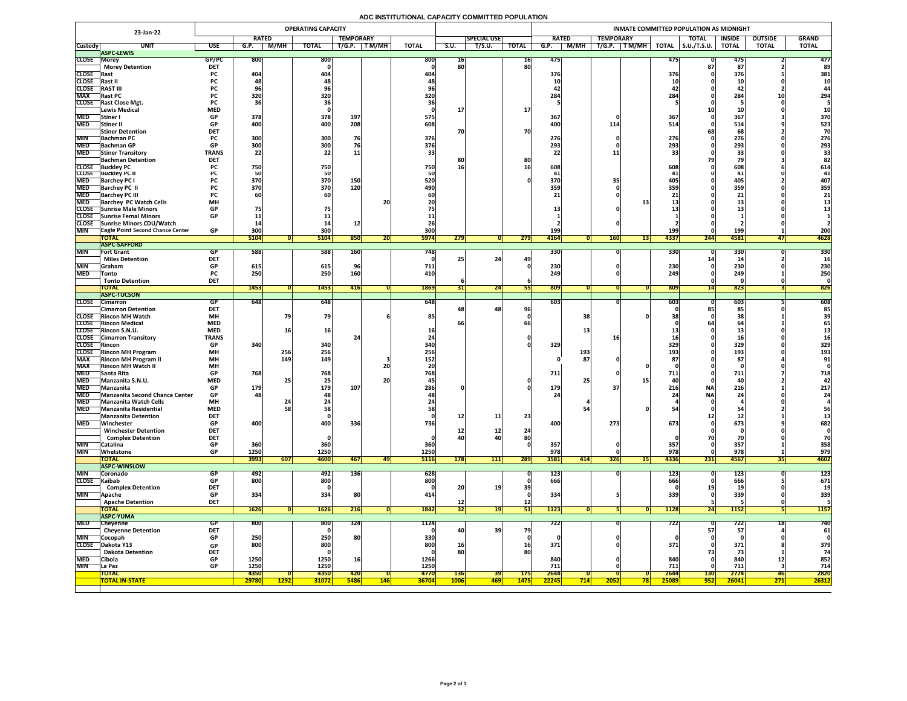## **ADC INSTITUTIONAL CAPACITY COMMITTED POPULATION**

|                            |                                                              | <b>OPERATING CAPACITY</b><br>23-Jan-22 |                          |             |                         |                  |              |              |                 |                    |                                | INMATE COMMITTED POPULATION AS MIDNIGHT |                  |              |                     |               |                   |              |  |  |  |  |
|----------------------------|--------------------------------------------------------------|----------------------------------------|--------------------------|-------------|-------------------------|------------------|--------------|--------------|-----------------|--------------------|--------------------------------|-----------------------------------------|------------------|--------------|---------------------|---------------|-------------------|--------------|--|--|--|--|
|                            |                                                              |                                        | <b>RATED</b>             |             |                         | <b>TEMPORARY</b> |              |              |                 | <b>SPECIAL USE</b> |                                | <b>RATED</b>                            | <b>TEMPORARY</b> |              | <b>TOTAL</b>        | <b>INSIDE</b> | <b>OUTSIDE</b>    | <b>GRAND</b> |  |  |  |  |
| <b>Custody</b>             | <b>UNIT</b><br><b>ASPC-LEWIS</b>                             | <b>USE</b>                             | G.P.                     | M/MH        | <b>TOTAL</b>            | T/G.P.           | T M/MH       | <b>TOTAL</b> | S.U.            | T/S.U.             | <b>TOTAL</b>                   | M/MH<br>G.P.                            | T M/MH<br>T/G.P. | <b>TOTAL</b> | $\vert$ S.U./T.S.U. | <b>TOTAL</b>  | <b>TOTAL</b>      | <b>TOTAL</b> |  |  |  |  |
| <b>CLOSE Morey</b>         |                                                              | GP/PC                                  | 800                      |             | 800                     |                  |              | 800          | 10 <sub>1</sub> |                    | <b>16</b>                      | 475                                     |                  | 475          |                     | 4/5           |                   | 477          |  |  |  |  |
|                            | <b>Morey Detention</b>                                       | <b>DET</b>                             |                          |             |                         |                  |              |              | 80              |                    | 80                             |                                         |                  |              |                     | 87            |                   | 89           |  |  |  |  |
| <b>CLOSE</b> Rast          |                                                              | <b>PC</b>                              | 404                      |             | 404                     |                  |              | 40           |                 |                    |                                | 376                                     |                  | 376          |                     | 376           |                   | 381          |  |  |  |  |
| <b>CLOSE</b>               | <b> Rast I</b>                                               | <b>PC</b>                              |                          |             |                         |                  |              |              |                 |                    |                                | 10                                      |                  |              |                     |               |                   | 10           |  |  |  |  |
| <b>CLOSE</b><br><b>MAX</b> | <b>RAST III</b><br><b>Rast PC</b>                            | <b>PC</b>                              | 320                      |             | 320                     |                  |              | 320          |                 |                    |                                | 284                                     |                  | 284          |                     | 42<br>284     |                   | 294          |  |  |  |  |
|                            | CLOSE Rast Close Mgt.                                        | <b>PC</b>                              |                          |             |                         |                  |              |              |                 |                    |                                |                                         |                  |              |                     |               |                   |              |  |  |  |  |
|                            | Lewis Medical                                                | <b>MED</b>                             |                          |             |                         |                  |              |              |                 |                    | 17                             |                                         |                  |              |                     |               |                   |              |  |  |  |  |
| <b>MED</b>                 | Stiner                                                       | <b>GP</b>                              | 378                      |             | 378                     | 197              |              | 575          |                 |                    |                                | 367                                     |                  | 367          |                     | 367           |                   | 370          |  |  |  |  |
| <b>MED</b>                 | Stiner II                                                    | <b>GP</b>                              | 400                      |             | 400                     | 208              |              | 608          |                 |                    |                                | 400                                     | 114              | 514          |                     | 514           |                   | 523          |  |  |  |  |
| <b>MIN</b>                 | <b>Stiner Detention</b><br><b>Bachman PC</b>                 | <b>DET</b>                             | 300                      |             | 300                     | 76               |              | 376          | 70              |                    | 70                             | 276                                     |                  | 276          |                     | 68<br>276     |                   | 70<br>276    |  |  |  |  |
|                            | MED Bachman GP                                               | <b>GP</b>                              | 200 <sub>l</sub><br>⊃∪∪∣ |             | 200 <sub>l</sub><br>JUU |                  |              | 376          |                 |                    |                                | 702<br><b>273</b>                       |                  | 202<br>LJJ   |                     | 202<br>LJJ    |                   | 293          |  |  |  |  |
| <b>MED</b>                 | <b>Stiner Transitory</b>                                     | <b>TRANS</b>                           | 22                       |             | 22                      | <b>11</b>        |              |              |                 |                    |                                | 22                                      |                  |              |                     |               |                   |              |  |  |  |  |
|                            | <b>Bachman Detention</b>                                     | <b>DET</b>                             |                          |             |                         |                  |              |              |                 |                    | 80                             |                                         |                  |              |                     |               |                   |              |  |  |  |  |
|                            | <b>CLOSE</b> Buckley PC                                      | <b>PC</b>                              | 750                      |             | 750<br>50               |                  |              | 750          | 16              |                    | <b>16</b>                      | 608                                     |                  | 608          |                     | 608           |                   | 614          |  |  |  |  |
| <b>MED</b>                 | <b>CLOSE</b> Buckley PC II<br><b>Barchey PC I</b>            |                                        | 370                      |             | 370                     | 150              |              | 520          |                 |                    |                                | 370                                     |                  |              |                     | 405           |                   | 41<br>407    |  |  |  |  |
| <b>MED</b>                 | <b>Barchey PC II</b>                                         |                                        | 370                      |             | 370                     | 120              |              | 490          |                 |                    |                                | 359                                     |                  | 359          |                     | 359           |                   | 359          |  |  |  |  |
| <b>MED</b>                 | <b>Barchey PC III</b>                                        | <b>PC</b>                              |                          |             | 60                      |                  |              |              |                 |                    |                                |                                         |                  |              |                     |               |                   | 21           |  |  |  |  |
| <b>MED</b>                 | <b>Barchey PC Watch Cells</b>                                | <b>MH</b>                              |                          |             |                         |                  | 20           |              |                 |                    |                                |                                         |                  |              |                     |               |                   |              |  |  |  |  |
|                            | <b>CLOSE</b> Sunrise Male Minors                             | <b>GP</b>                              |                          |             |                         |                  |              |              |                 |                    |                                |                                         |                  |              |                     |               |                   |              |  |  |  |  |
|                            | CLOSE Sunrise Femal Minors<br>CLOSE Sunrise Minors CDU/Watch | <b>GP</b>                              |                          |             |                         |                  |              |              |                 |                    |                                |                                         |                  |              |                     |               |                   |              |  |  |  |  |
| <b>MIN</b>                 | <b>TEagle Point Second Chance Center</b>                     | <b>GP</b>                              | 300                      |             | 300                     |                  |              | 300          |                 |                    |                                | <b>199</b>                              |                  | 199          |                     | 199           |                   | 200          |  |  |  |  |
|                            | <b>TOTAL</b>                                                 |                                        | 5104                     |             | 5104                    | 850              | ZU           | <b>5974</b>  | 279             |                    | 279                            | 4164                                    | <b>160</b>       | 4337<br> 13  | 244                 | 4581          |                   | 4628         |  |  |  |  |
|                            | <b>ASPC-SAFFORD</b>                                          |                                        |                          |             |                         |                  |              |              |                 |                    |                                |                                         |                  |              |                     |               |                   |              |  |  |  |  |
| <b>MIN</b>                 | <b>Fort Grant</b><br><b>Miles Detention</b>                  | GP.<br><b>DET</b>                      | 588                      |             | 588                     | <b>160</b>       |              | 748I         |                 | 24                 |                                | 330                                     |                  | <b>330</b>   |                     | 330           |                   | 330          |  |  |  |  |
| MIN                        | <b>Sraham</b>                                                | <b>GP</b>                              | 615                      |             | 615                     |                  |              | 711          |                 |                    |                                | 230                                     |                  | 230          |                     | 230           |                   | 230          |  |  |  |  |
| <b>MED</b>                 | $\sqrt{\ }$ Tonto                                            | <b>PC</b>                              | 250                      |             | 250                     | 160              |              | 410          |                 |                    |                                | 249                                     |                  | 249          |                     | 249           |                   | 250          |  |  |  |  |
|                            | <b>Tonto Detention</b>                                       | <b>DET</b>                             |                          |             |                         |                  |              |              |                 |                    |                                |                                         |                  |              |                     |               |                   |              |  |  |  |  |
|                            | <b>TOTAL</b>                                                 |                                        | 1453                     |             | 1453                    | 416              |              | 1869         |                 | 24                 |                                | 809                                     |                  | 809          |                     | 823           |                   | 826          |  |  |  |  |
|                            | <b>ASPC-TUCSON</b><br>CLOSE Cimarron                         | GP                                     | 648                      |             | 648                     |                  |              | 648          |                 |                    |                                | 603                                     |                  | 603          |                     | 603           |                   | 608          |  |  |  |  |
|                            | <b>Cimarron Detention</b>                                    | <b>DET</b>                             |                          |             |                         |                  |              |              |                 | 48                 | 96                             |                                         |                  |              |                     | 85            |                   | 85           |  |  |  |  |
|                            | <b>CLOSE</b> Rincon MH Watch                                 | <b>MH</b>                              |                          |             | 79                      |                  |              | <b>85</b>    |                 |                    |                                |                                         |                  |              |                     |               |                   |              |  |  |  |  |
|                            | <b>CLOSE</b> Rincon Medical                                  | <b>MED</b>                             |                          |             |                         |                  |              |              |                 |                    |                                |                                         |                  |              |                     |               |                   |              |  |  |  |  |
|                            | <b>CLOSE</b> Rincon S.N.U.                                   | <b>MED</b>                             |                          |             | 16                      |                  |              |              |                 |                    |                                |                                         |                  |              |                     |               |                   |              |  |  |  |  |
| <b>CLOSE</b> Rincon        | <b>CLOSE</b> Cimarron Transitory                             | <b>TRANS</b><br><b>GP</b>              | 340                      |             | 340                     |                  |              | 340          |                 |                    |                                | 329                                     |                  | 329          |                     | 329           |                   | 329          |  |  |  |  |
|                            | <b>CLOSE</b> Rincon MH Program                               | <b>MH</b>                              |                          | 256         | 256                     |                  |              | 256          |                 |                    |                                | 193                                     |                  | 193          |                     | 193           |                   | 193          |  |  |  |  |
| <b>MAX</b>                 | <b>Rincon MH Program II</b>                                  | <b>MH</b>                              |                          | 149         | <b>149</b>              |                  |              | 152          |                 |                    |                                |                                         | 87               |              |                     | 87            |                   | 91           |  |  |  |  |
| <b>MAX</b>                 | <b>Rincon MH Watch II</b>                                    | <b>MH</b>                              |                          |             |                         |                  | 20           |              |                 |                    |                                |                                         |                  |              |                     |               |                   |              |  |  |  |  |
| <b>MED</b><br><b>MED</b>   | <b>Santa Rita</b><br>Manzanita S.N.U.                        | <b>GP</b><br><b>MED</b>                | 768                      |             | 768<br>25               |                  | <b>20</b>    | 768          |                 |                    |                                | 711                                     |                  | 711          |                     | 711           |                   | 718          |  |  |  |  |
| <b>MED</b>                 | Manzanita                                                    | <b>GP</b>                              | 179                      |             | 179                     | 107              |              | 286          |                 |                    |                                | <b>179</b>                              |                  | 216          | <b>NA</b>           | 216           |                   | 217          |  |  |  |  |
| <b>MED</b>                 | <b>Manzanita Second Chance Center</b>                        | <b>GP</b>                              | 48                       |             | 48                      |                  |              |              |                 |                    |                                | 24                                      |                  | 24'          | <b>NAI</b>          | 24            |                   | 24           |  |  |  |  |
| <b>MED</b>                 | <b>Manzanita Watch Cells</b>                                 | <b>MH</b>                              |                          |             |                         |                  |              |              |                 |                    |                                |                                         |                  |              |                     |               |                   |              |  |  |  |  |
| <b>MED</b>                 | Manzanita Residential                                        | <b>MED</b>                             |                          |             | 58                      |                  |              |              |                 |                    |                                |                                         |                  |              |                     |               |                   | 56           |  |  |  |  |
| <b>MED</b>                 | <b>Manzanita Detention</b><br>Winchester                     | <b>DET</b><br><b>GP</b>                | 400                      |             | 400                     | 336              |              | <b>736</b>   | 12              | 11                 | 23                             | 400                                     | 273              | 673          |                     | 673           |                   | 682          |  |  |  |  |
|                            | <b>Winchester Detention</b>                                  | <b>DET</b>                             |                          |             |                         |                  |              |              | ┹               | TT                 | 24                             |                                         |                  |              |                     |               |                   |              |  |  |  |  |
|                            | <b>Complex Detention</b>                                     | <b>DET</b>                             |                          |             |                         |                  |              |              | 40              | 40                 | 80                             |                                         |                  |              |                     |               |                   |              |  |  |  |  |
| MIN                        | <b>Catalina</b>                                              | <b>GP</b>                              | 360                      |             | 360                     |                  |              | 360          |                 |                    |                                | 357                                     |                  | 357          |                     | 357           |                   | 358          |  |  |  |  |
| <b>MIN</b>                 | <b>Whetstone</b>                                             | <b>GP</b>                              | 1250                     |             | 1250                    |                  |              | 1250         |                 |                    |                                | 978                                     |                  | 978          |                     | 978           |                   | 979          |  |  |  |  |
|                            | <b>TOTAL</b><br><b>ASPC-WINSLOW</b>                          |                                        | 3993                     | 607         | 4600                    | 467              | 47           | <b>5116</b>  | 178             | 111                | 289                            | 3581<br>414                             | <b>326</b>       | 4336<br>15   | 231                 | 4567          | 35 I              | 4602         |  |  |  |  |
| <b>MIN</b>                 | <b>Coronado</b>                                              | GP                                     | 492                      |             | 492                     | <b>136</b>       |              | 628          |                 |                    |                                | <b>123</b>                              |                  | <b>123</b>   |                     | <b>123</b>    |                   | <b>123</b>   |  |  |  |  |
| CLOSE Kaibab               |                                                              | <b>GP</b>                              | 800                      |             | 800                     |                  |              | 800          |                 |                    |                                | 666                                     |                  | 666          |                     | 666           |                   | 671          |  |  |  |  |
|                            | <b>Complex Detention</b>                                     | <b>DET</b>                             |                          |             |                         |                  |              |              | 20              | 19                 | 39                             |                                         |                  |              |                     |               |                   | 19           |  |  |  |  |
| <b>MIN</b>                 | <b>Apache</b>                                                | <b>GP</b>                              | 334                      |             | 334                     | 80               |              | 414          |                 |                    |                                | 334                                     |                  | 339          |                     | 339           |                   | 339          |  |  |  |  |
|                            | <b>Apache Detention</b><br><b>TOTAL</b>                      | <b>DET</b>                             | 1626                     |             | <b>1626</b>             | 216              |              | 1842         | <b>34</b>       |                    | 12 <sub>1</sub><br><b>DILL</b> | 1123                                    |                  | 1128         |                     | 1152          |                   | <b>1157</b>  |  |  |  |  |
|                            | <b>ASPC-YUMA</b>                                             |                                        |                          |             |                         |                  |              |              |                 |                    |                                |                                         |                  |              |                     |               |                   |              |  |  |  |  |
| <b>MED</b>                 | Cheyenne                                                     | <b>GP</b>                              | 800                      |             | 800                     | 324              |              | 1124         |                 |                    |                                | 722                                     |                  | 722          |                     | 722           |                   | 740          |  |  |  |  |
|                            | <b>Cheyenne Detention</b>                                    | <b>DET</b>                             |                          |             |                         |                  |              |              | 40              | <b>39</b>          | 79                             |                                         |                  |              | 57                  | 57            |                   | 61           |  |  |  |  |
| <b>MIN</b>                 | Cocopah                                                      | <b>GP</b>                              | 250                      |             | 250                     | 80               |              | 330          |                 |                    |                                |                                         |                  |              |                     |               |                   |              |  |  |  |  |
| <b>CLOSE</b>               | Dakota Y13<br><b>Dakota Detention</b>                        | <b>GP</b><br><b>DET</b>                | 800                      |             | 800                     |                  |              | 800          | <b>16</b>       |                    | <b>16</b><br>80                | 371                                     |                  | 371          |                     | 371           |                   | 379<br>74    |  |  |  |  |
| <b>MED</b>                 | Cibola                                                       | <b>GP</b>                              | 1250                     |             | 1250                    | <b>16</b>        |              | 1266         |                 |                    |                                | 840                                     |                  | 840          |                     | 840           | $12 \overline{ }$ | 852          |  |  |  |  |
| <b>MIN</b>                 | La Paz                                                       | <b>GP</b>                              | 1250                     |             | 1250                    |                  |              | 1250         |                 |                    |                                | 711                                     |                  | 711          |                     | 711           |                   | 714          |  |  |  |  |
|                            | <b>TOTAL</b>                                                 |                                        | <b>4350</b>              |             | 4350                    | <b>420</b>       |              | 4770         | <b>136</b>      | 391                | <b>175</b>                     | 2644                                    |                  | 2644         | <b>130</b>          | 2774          | 46                | 2820         |  |  |  |  |
|                            | <b>TOTAL IN-STATE</b>                                        |                                        | 29780                    | <b>1292</b> | <b>31072</b>            | <b>5486</b>      | <u>  146</u> | <b>36704</b> | <b>1006</b>     | <mark>469 </mark>  | <b>1475</b>                    | 22245                                   | 714<br>2052      | 25089<br>78  | <b>952</b>          | 26041         | 271               | 26312        |  |  |  |  |